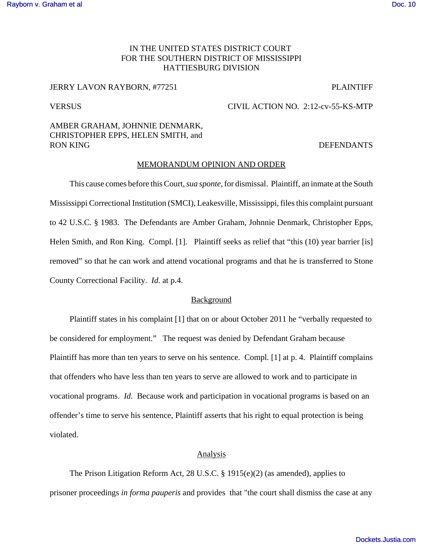## IN THE UNITED STATES DISTRICT COURT FOR THE SOUTHERN DISTRICT OF MISSISSIPPI HATTIESBURG DIVISION

### JERRY LAVON RAYBORN, #77251 PLAINTIFF

# VERSUS CIVIL ACTION NO. 2:12-cv-55-KS-MTP

# AMBER GRAHAM, JOHNNIE DENMARK, CHRISTOPHER EPPS, HELEN SMITH, and RON KING DEFENDANTS

### MEMORANDUM OPINION AND ORDER

This cause comes before this Court, *sua sponte,* for dismissal. Plaintiff, an inmate at the South Mississippi Correctional Institution (SMCI), Leakesville, Mississippi, files this complaint pursuant to 42 U.S.C. § 1983. The Defendants are Amber Graham, Johnnie Denmark, Christopher Epps, Helen Smith, and Ron King. Compl. [1]. Plaintiff seeks as relief that "this (10) year barrier [is] removed" so that he can work and attend vocational programs and that he is transferred to Stone County Correctional Facility. *Id*. at p.4.

### **Background**

Plaintiff states in his complaint [1] that on or about October 2011 he "verbally requested to be considered for employment." The request was denied by Defendant Graham because Plaintiff has more than ten years to serve on his sentence. Compl. [1] at p. 4. Plaintiff complains that offenders who have less than ten years to serve are allowed to work and to participate in vocational programs. *Id*. Because work and participation in vocational programs is based on an offender's time to serve his sentence, Plaintiff asserts that his right to equal protection is being violated.

### Analysis

The Prison Litigation Reform Act, 28 U.S.C. § 1915(e)(2) (as amended), applies to prisoner proceedings *in forma pauperis* and provides that "the court shall dismiss the case at any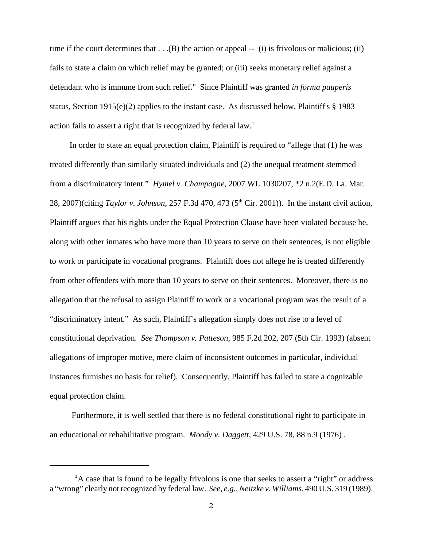time if the court determines that  $\dots(B)$  the action or appeal -- (i) is frivolous or malicious; (ii) fails to state a claim on which relief may be granted; or (iii) seeks monetary relief against a defendant who is immune from such relief." Since Plaintiff was granted *in forma pauperis* status, Section 1915(e)(2) applies to the instant case. As discussed below, Plaintiff's § 1983 action fails to assert a right that is recognized by federal law.<sup>1</sup>

In order to state an equal protection claim, Plaintiff is required to "allege that (1) he was treated differently than similarly situated individuals and (2) the unequal treatment stemmed from a discriminatory intent." *Hymel v. Champagne*, 2007 WL 1030207, \*2 n.2(E.D. La. Mar. 28, 2007)(citing *Taylor v. Johnson*, 257 F.3d 470, 473 (5<sup>th</sup> Cir. 2001)). In the instant civil action, Plaintiff argues that his rights under the Equal Protection Clause have been violated because he, along with other inmates who have more than 10 years to serve on their sentences, is not eligible to work or participate in vocational programs. Plaintiff does not allege he is treated differently from other offenders with more than 10 years to serve on their sentences. Moreover, there is no allegation that the refusal to assign Plaintiff to work or a vocational program was the result of a "discriminatory intent." As such, Plaintiff's allegation simply does not rise to a level of constitutional deprivation. *See Thompson v. Patteson*, 985 F.2d 202, 207 (5th Cir. 1993) (absent allegations of improper motive, mere claim of inconsistent outcomes in particular, individual instances furnishes no basis for relief). Consequently, Plaintiff has failed to state a cognizable equal protection claim.

 Furthermore, it is well settled that there is no federal constitutional right to participate in an educational or rehabilitative program. *Moody v. Daggett*, 429 U.S. 78, 88 n.9 (1976) .

 ${}^{1}$ A case that is found to be legally frivolous is one that seeks to assert a "right" or address a "wrong" clearly not recognized by federal law. *See, e.g., Neitzke v. Williams*, 490 U.S. 319 (1989).